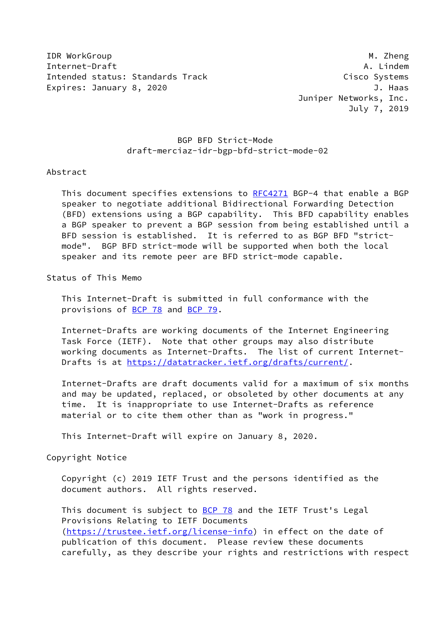IDR WorkGroup **M. 2008** Museum Museum Museum Museum Museum Museum Museum Museum Museum Museum Museum Museum Museum Museum Museum Museum Museum Museum Museum Museum Museum Museum Museum Museum Museum Museum Museum Museum Mu Internet-Draft A. Lindem Intended status: Standards Track Cisco Systems Expires: January 8, 2020 **J. Haas** 

 Juniper Networks, Inc. July 7, 2019

### BGP BFD Strict-Mode draft-merciaz-idr-bgp-bfd-strict-mode-02

#### Abstract

This document specifies extensions to [RFC4271](https://datatracker.ietf.org/doc/pdf/rfc4271) BGP-4 that enable a BGP speaker to negotiate additional Bidirectional Forwarding Detection (BFD) extensions using a BGP capability. This BFD capability enables a BGP speaker to prevent a BGP session from being established until a BFD session is established. It is referred to as BGP BFD "strict mode". BGP BFD strict-mode will be supported when both the local speaker and its remote peer are BFD strict-mode capable.

#### Status of This Memo

 This Internet-Draft is submitted in full conformance with the provisions of [BCP 78](https://datatracker.ietf.org/doc/pdf/bcp78) and [BCP 79](https://datatracker.ietf.org/doc/pdf/bcp79).

 Internet-Drafts are working documents of the Internet Engineering Task Force (IETF). Note that other groups may also distribute working documents as Internet-Drafts. The list of current Internet- Drafts is at<https://datatracker.ietf.org/drafts/current/>.

 Internet-Drafts are draft documents valid for a maximum of six months and may be updated, replaced, or obsoleted by other documents at any time. It is inappropriate to use Internet-Drafts as reference material or to cite them other than as "work in progress."

This Internet-Draft will expire on January 8, 2020.

#### Copyright Notice

 Copyright (c) 2019 IETF Trust and the persons identified as the document authors. All rights reserved.

This document is subject to **[BCP 78](https://datatracker.ietf.org/doc/pdf/bcp78)** and the IETF Trust's Legal Provisions Relating to IETF Documents [\(https://trustee.ietf.org/license-info](https://trustee.ietf.org/license-info)) in effect on the date of publication of this document. Please review these documents carefully, as they describe your rights and restrictions with respect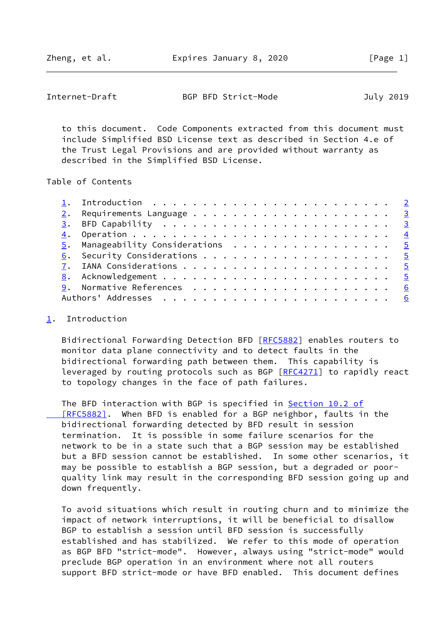<span id="page-1-1"></span>Internet-Draft BGP BFD Strict-Mode July 2019

 to this document. Code Components extracted from this document must include Simplified BSD License text as described in Section 4.e of the Trust Legal Provisions and are provided without warranty as described in the Simplified BSD License.

Table of Contents

#### <span id="page-1-0"></span>[1](#page-1-0). Introduction

Bidirectional Forwarding Detection BFD [\[RFC5882](https://datatracker.ietf.org/doc/pdf/rfc5882)] enables routers to monitor data plane connectivity and to detect faults in the bidirectional forwarding path between them. This capability is leveraged by routing protocols such as BGP [[RFC4271\]](https://datatracker.ietf.org/doc/pdf/rfc4271) to rapidly react to topology changes in the face of path failures.

 The BFD interaction with BGP is specified in [Section](https://datatracker.ietf.org/doc/pdf/rfc5882#section-10.2) 10.2 of  [\[RFC5882\]](https://datatracker.ietf.org/doc/pdf/rfc5882#section-10.2). When BFD is enabled for a BGP neighbor, faults in the bidirectional forwarding detected by BFD result in session termination. It is possible in some failure scenarios for the network to be in a state such that a BGP session may be established but a BFD session cannot be established. In some other scenarios, it may be possible to establish a BGP session, but a degraded or poor quality link may result in the corresponding BFD session going up and down frequently.

 To avoid situations which result in routing churn and to minimize the impact of network interruptions, it will be beneficial to disallow BGP to establish a session until BFD session is successfully established and has stabilized. We refer to this mode of operation as BGP BFD "strict-mode". However, always using "strict-mode" would preclude BGP operation in an environment where not all routers support BFD strict-mode or have BFD enabled. This document defines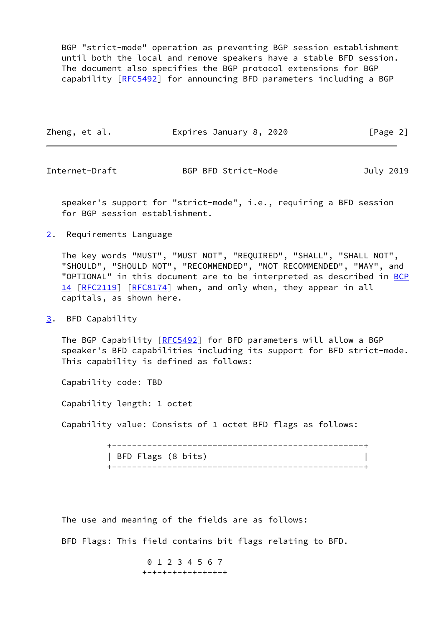BGP "strict-mode" operation as preventing BGP session establishment until both the local and remove speakers have a stable BFD session. The document also specifies the BGP protocol extensions for BGP capability [[RFC5492\]](https://datatracker.ietf.org/doc/pdf/rfc5492) for announcing BFD parameters including a BGP

| Zheng, et al. | Expires January 8, 2020 | [Page 2] |
|---------------|-------------------------|----------|
|               |                         |          |

<span id="page-2-1"></span>Internet-Draft BGP BFD Strict-Mode July 2019

 speaker's support for "strict-mode", i.e., requiring a BFD session for BGP session establishment.

<span id="page-2-0"></span>[2](#page-2-0). Requirements Language

 The key words "MUST", "MUST NOT", "REQUIRED", "SHALL", "SHALL NOT", "SHOULD", "SHOULD NOT", "RECOMMENDED", "NOT RECOMMENDED", "MAY", and "OPTIONAL" in this document are to be interpreted as described in [BCP](https://datatracker.ietf.org/doc/pdf/bcp14) [14](https://datatracker.ietf.org/doc/pdf/bcp14) [[RFC2119\]](https://datatracker.ietf.org/doc/pdf/rfc2119) [\[RFC8174](https://datatracker.ietf.org/doc/pdf/rfc8174)] when, and only when, they appear in all capitals, as shown here.

<span id="page-2-2"></span>[3](#page-2-2). BFD Capability

The BGP Capability [[RFC5492\]](https://datatracker.ietf.org/doc/pdf/rfc5492) for BFD parameters will allow a BGP speaker's BFD capabilities including its support for BFD strict-mode. This capability is defined as follows:

Capability code: TBD

Capability length: 1 octet

Capability value: Consists of 1 octet BFD flags as follows:

 +--------------------------------------------------+ | BFD Flags (8 bits) | +--------------------------------------------------+

The use and meaning of the fields are as follows:

BFD Flags: This field contains bit flags relating to BFD.

 0 1 2 3 4 5 6 7 +-+-+-+-+-+-+-+-+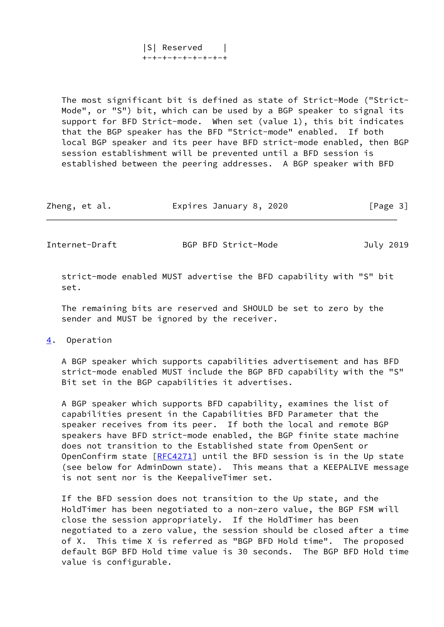|S| Reserved | +-+-+-+-+-+-+-+-+

 The most significant bit is defined as state of Strict-Mode ("Strict- Mode", or "S") bit, which can be used by a BGP speaker to signal its support for BFD Strict-mode. When set (value 1), this bit indicates that the BGP speaker has the BFD "Strict-mode" enabled. If both local BGP speaker and its peer have BFD strict-mode enabled, then BGP session establishment will be prevented until a BFD session is established between the peering addresses. A BGP speaker with BFD

|  | Zheng, et al. | Expires January 8, 2020 | [Page 3] |
|--|---------------|-------------------------|----------|
|--|---------------|-------------------------|----------|

<span id="page-3-1"></span>Internet-Draft BGP BFD Strict-Mode July 2019

 strict-mode enabled MUST advertise the BFD capability with "S" bit set.

 The remaining bits are reserved and SHOULD be set to zero by the sender and MUST be ignored by the receiver.

<span id="page-3-0"></span>[4](#page-3-0). Operation

 A BGP speaker which supports capabilities advertisement and has BFD strict-mode enabled MUST include the BGP BFD capability with the "S" Bit set in the BGP capabilities it advertises.

 A BGP speaker which supports BFD capability, examines the list of capabilities present in the Capabilities BFD Parameter that the speaker receives from its peer. If both the local and remote BGP speakers have BFD strict-mode enabled, the BGP finite state machine does not transition to the Established state from OpenSent or OpenConfirm state [[RFC4271](https://datatracker.ietf.org/doc/pdf/rfc4271)] until the BFD session is in the Up state (see below for AdminDown state). This means that a KEEPALIVE message is not sent nor is the KeepaliveTimer set.

 If the BFD session does not transition to the Up state, and the HoldTimer has been negotiated to a non-zero value, the BGP FSM will close the session appropriately. If the HoldTimer has been negotiated to a zero value, the session should be closed after a time of X. This time X is referred as "BGP BFD Hold time". The proposed default BGP BFD Hold time value is 30 seconds. The BGP BFD Hold time value is configurable.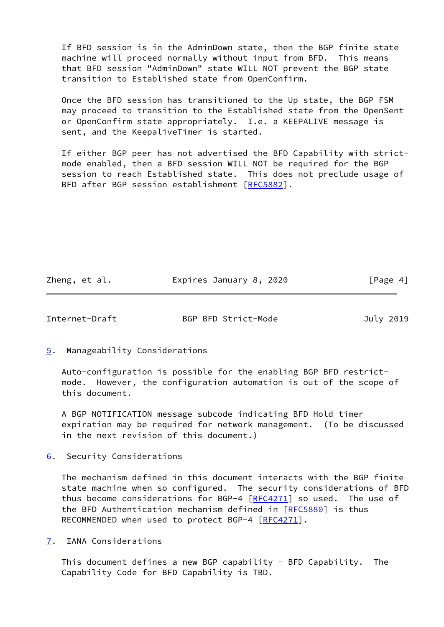If BFD session is in the AdminDown state, then the BGP finite state machine will proceed normally without input from BFD. This means that BFD session "AdminDown" state WILL NOT prevent the BGP state transition to Established state from OpenConfirm.

 Once the BFD session has transitioned to the Up state, the BGP FSM may proceed to transition to the Established state from the OpenSent or OpenConfirm state appropriately. I.e. a KEEPALIVE message is sent, and the KeepaliveTimer is started.

 If either BGP peer has not advertised the BFD Capability with strict mode enabled, then a BFD session WILL NOT be required for the BGP session to reach Established state. This does not preclude usage of BFD after BGP session establishment [\[RFC5882](https://datatracker.ietf.org/doc/pdf/rfc5882)].

Zheng, et al. **Expires January 8, 2020** [Page 4]

<span id="page-4-1"></span>Internet-Draft BGP BFD Strict-Mode July 2019

<span id="page-4-0"></span>[5](#page-4-0). Manageability Considerations

 Auto-configuration is possible for the enabling BGP BFD restrict mode. However, the configuration automation is out of the scope of this document.

 A BGP NOTIFICATION message subcode indicating BFD Hold timer expiration may be required for network management. (To be discussed in the next revision of this document.)

<span id="page-4-2"></span>[6](#page-4-2). Security Considerations

 The mechanism defined in this document interacts with the BGP finite state machine when so configured. The security considerations of BFD thus become considerations for BGP-4  $[RECA271]$  so used. The use of the BFD Authentication mechanism defined in [\[RFC5880](https://datatracker.ietf.org/doc/pdf/rfc5880)] is thus RECOMMENDED when used to protect BGP-4 [\[RFC4271](https://datatracker.ietf.org/doc/pdf/rfc4271)].

<span id="page-4-3"></span>[7](#page-4-3). IANA Considerations

 This document defines a new BGP capability - BFD Capability. The Capability Code for BFD Capability is TBD.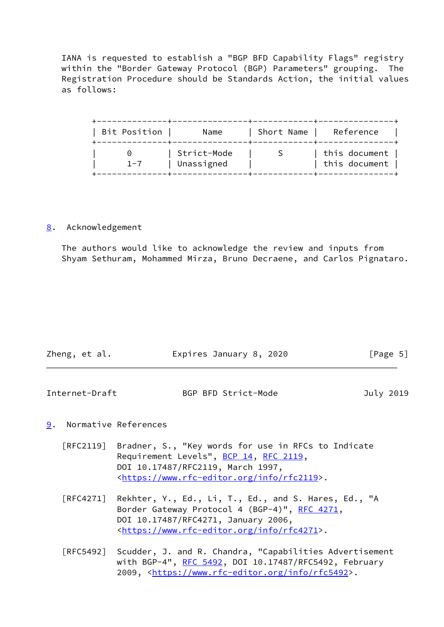IANA is requested to establish a "BGP BFD Capability Flags" registry within the "Border Gateway Protocol (BGP) Parameters" grouping. The Registration Procedure should be Standards Action, the initial values as follows:

| Bit Position | Name                      | Short Name | Reference                        |
|--------------|---------------------------|------------|----------------------------------|
| $1 - 7$      | Strict-Mode<br>Unassigned |            | this document<br>  this document |

#### <span id="page-5-0"></span>[8](#page-5-0). Acknowledgement

 The authors would like to acknowledge the review and inputs from Shyam Sethuram, Mohammed Mirza, Bruno Decraene, and Carlos Pignataro.

| Zheng, et al. | Expires January 8, 2020 | [Page 5] |
|---------------|-------------------------|----------|
|               |                         |          |

# <span id="page-5-2"></span>Internet-Draft BGP BFD Strict-Mode July 2019

## <span id="page-5-1"></span>[9](#page-5-1). Normative References

- [RFC2119] Bradner, S., "Key words for use in RFCs to Indicate Requirement Levels", [BCP 14](https://datatracker.ietf.org/doc/pdf/bcp14), [RFC 2119](https://datatracker.ietf.org/doc/pdf/rfc2119), DOI 10.17487/RFC2119, March 1997, <[https://www.rfc-editor.org/info/rfc2119>](https://www.rfc-editor.org/info/rfc2119).
- [RFC4271] Rekhter, Y., Ed., Li, T., Ed., and S. Hares, Ed., "A Border Gateway Protocol 4 (BGP-4)", [RFC 4271,](https://datatracker.ietf.org/doc/pdf/rfc4271) DOI 10.17487/RFC4271, January 2006, <[https://www.rfc-editor.org/info/rfc4271>](https://www.rfc-editor.org/info/rfc4271).
- [RFC5492] Scudder, J. and R. Chandra, "Capabilities Advertisement with BGP-4", [RFC 5492](https://datatracker.ietf.org/doc/pdf/rfc5492), DOI 10.17487/RFC5492, February 2009, [<https://www.rfc-editor.org/info/rfc5492](https://www.rfc-editor.org/info/rfc5492)>.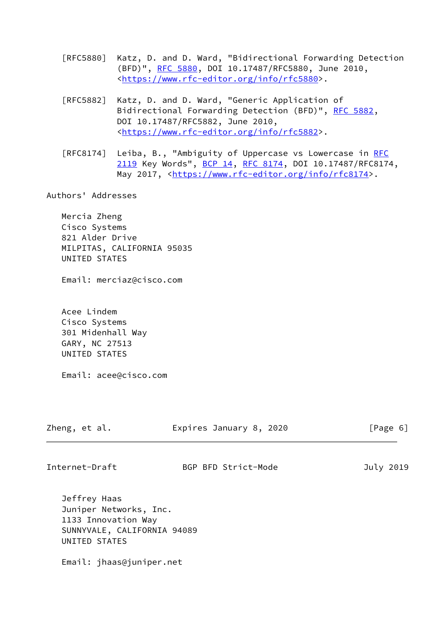- [RFC5880] Katz, D. and D. Ward, "Bidirectional Forwarding Detection (BFD)", [RFC 5880,](https://datatracker.ietf.org/doc/pdf/rfc5880) DOI 10.17487/RFC5880, June 2010, <[https://www.rfc-editor.org/info/rfc5880>](https://www.rfc-editor.org/info/rfc5880).
- [RFC5882] Katz, D. and D. Ward, "Generic Application of Bidirectional Forwarding Detection (BFD)", [RFC 5882](https://datatracker.ietf.org/doc/pdf/rfc5882), DOI 10.17487/RFC5882, June 2010, <[https://www.rfc-editor.org/info/rfc5882>](https://www.rfc-editor.org/info/rfc5882).
- [RFC8174] Leiba, B., "Ambiguity of Uppercase vs Lowercase in [RFC](https://datatracker.ietf.org/doc/pdf/rfc2119) [2119](https://datatracker.ietf.org/doc/pdf/rfc2119) Key Words", [BCP 14](https://datatracker.ietf.org/doc/pdf/bcp14), [RFC 8174,](https://datatracker.ietf.org/doc/pdf/rfc8174) DOI 10.17487/RFC8174, May 2017, [<https://www.rfc-editor.org/info/rfc8174](https://www.rfc-editor.org/info/rfc8174)>.

Authors' Addresses

 Mercia Zheng Cisco Systems 821 Alder Drive MILPITAS, CALIFORNIA 95035 UNITED STATES

Email: merciaz@cisco.com

 Acee Lindem Cisco Systems 301 Midenhall Way GARY, NC 27513 UNITED STATES

Email: acee@cisco.com

| Zheng, et al.  | Expires January 8, 2020 | [Page 6]  |
|----------------|-------------------------|-----------|
|                |                         |           |
| Internet-Draft | BGP BFD Strict-Mode     | July 2019 |

 Jeffrey Haas Juniper Networks, Inc. 1133 Innovation Way SUNNYVALE, CALIFORNIA 94089 UNITED STATES

Email: jhaas@juniper.net